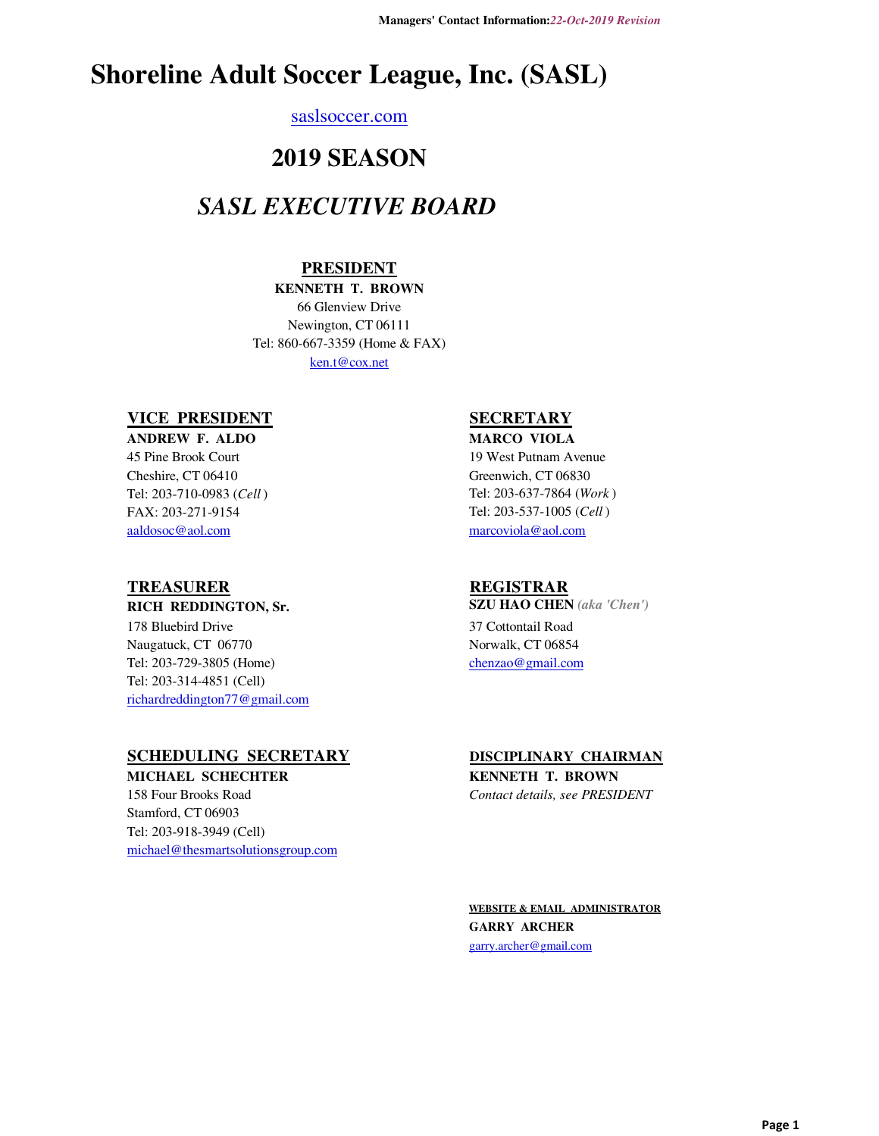# **Shoreline Adult Soccer League, Inc. (SASL)**

#### saslsoccer.com

## **2019 SEASON**

## *SASL EXECUTIVE BOARD*

### **PRESIDENT**

### **KENNETH T. BROWN**

Newington, CT 06111 Tel: 860-667-3359 (Home & FAX) ken.t@cox.net 66 Glenview Drive

#### **VICE PRESIDENT**

FAX: 203-271-9154 aaldosoc@aol.com **ANDREW F. ALDO** 45 Pine Brook Court Cheshire, CT 06410 Tel: 203-710-0983 (*Cell* )

### **TREASURER**

#### **RICH REDDINGTON, Sr.**

richardreddington77@gmail.com 178 Bluebird Drive Naugatuck, CT 06770 Tel: 203-729-3805 (Home) Tel: 203-314-4851 (Cell)

### **SCHEDULING SECRETARY**

Stamford, CT 06903 Tel: 203-918-3949 (Cell) michael@thesmartsolutionsgroup.com **MICHAEL SCHECHTER** 158 Four Brooks Road

### **SECRETARY**

#### **MARCO VIOLA** 19 West Putnam Avenue Greenwich, CT 06830 Tel: 203-637-7864 (*Work* ) Tel: 203-537-1005 (*Cell* ) marcoviola@aol.com

#### **REGISTRAR**

**SZU HAO CHEN** *(aka 'Chen')* 37 Cottontail Road Norwalk, CT 06854 chenzao@gmail.com

#### **DISCIPLINARY CHAIRMAN**

**KENNETH T. BROWN** *Contact details, see PRESIDENT*

**WEBSITE & EMAIL ADMINISTRATOR GARRY ARCHER** garry.archer@gmail.com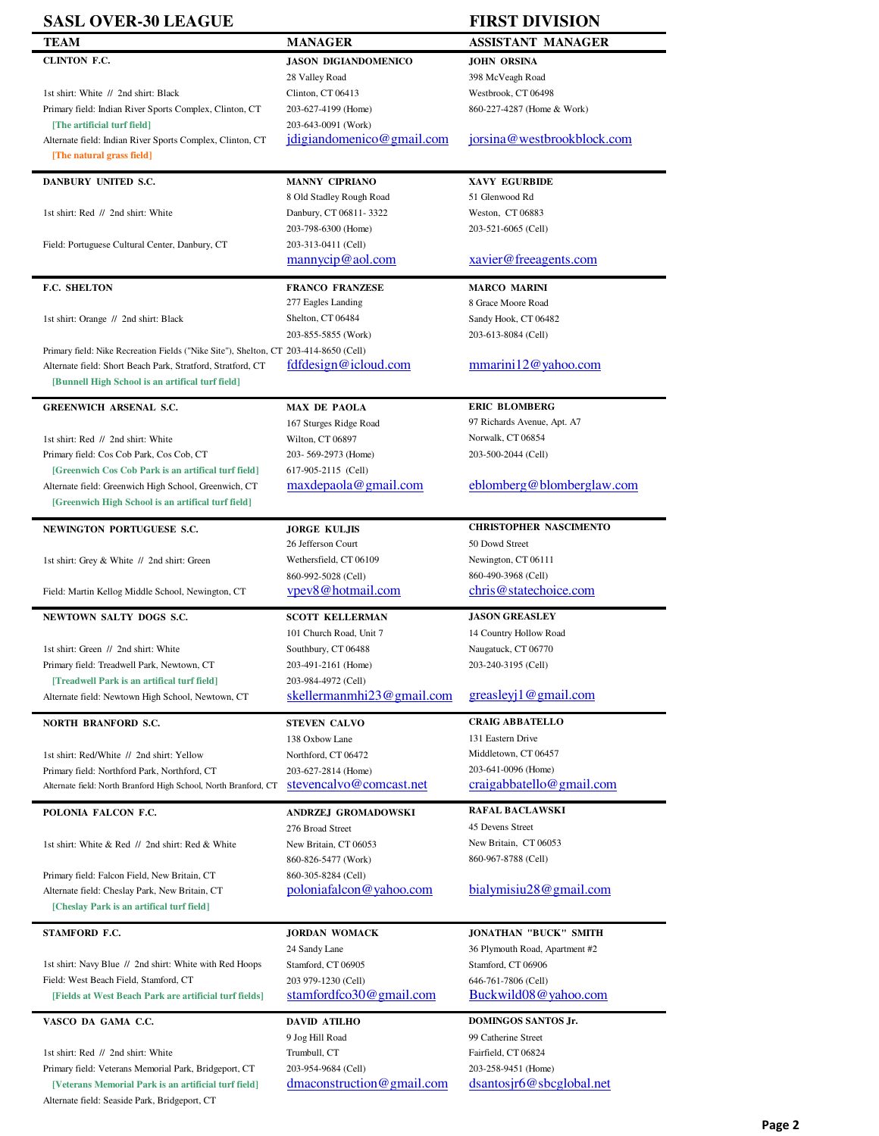### **SASL OVER-30 LEAGUE FIRST DIVISION**

| dadl u ver-ju league                                                                 |                                          | LIVOT NI APINI                       |
|--------------------------------------------------------------------------------------|------------------------------------------|--------------------------------------|
| TEAM                                                                                 | <b>MANAGER</b>                           | ASSISTANT MANAGER                    |
| CLINTON F.C.                                                                         | <b>JASON DIGIANDOMENICO</b>              | <b>JOHN ORSINA</b>                   |
|                                                                                      | 28 Valley Road                           | 398 McVeagh Road                     |
| 1st shirt: White // 2nd shirt: Black                                                 | Clinton, CT 06413                        | Westbrook, CT 06498                  |
| Primary field: Indian River Sports Complex, Clinton, CT                              | 203-627-4199 (Home)                      | 860-227-4287 (Home & Work)           |
| [The artificial turf field]                                                          | 203-643-0091 (Work)                      |                                      |
| Alternate field: Indian River Sports Complex, Clinton, CT                            | jdigiandomenico@gmail.com                | jorsina@westbrookblock.com           |
| [The natural grass field]                                                            |                                          |                                      |
| DANBURY UNITED S.C.                                                                  | <b>MANNY CIPRIANO</b>                    | XAVY EGURBIDE                        |
|                                                                                      | 8 Old Stadley Rough Road                 | 51 Glenwood Rd                       |
| 1st shirt: Red // 2nd shirt: White                                                   | Danbury, CT 06811-3322                   | Weston, CT 06883                     |
|                                                                                      | 203-798-6300 (Home)                      | 203-521-6065 (Cell)                  |
| Field: Portuguese Cultural Center, Danbury, CT                                       | 203-313-0411 (Cell)                      |                                      |
|                                                                                      | $\frac{\text{manycip@}\text{aol.com}}{}$ | xavier@freeagents.com                |
|                                                                                      |                                          |                                      |
| F.C. SHELTON                                                                         | <b>FRANCO FRANZESE</b>                   | <b>MARCO MARINI</b>                  |
|                                                                                      | 277 Eagles Landing                       | 8 Grace Moore Road                   |
| 1st shirt: Orange // 2nd shirt: Black                                                | Shelton, CT 06484                        | Sandy Hook, CT 06482                 |
|                                                                                      | 203-855-5855 (Work)                      | 203-613-8084 (Cell)                  |
| Primary field: Nike Recreation Fields ("Nike Site"), Shelton, CT 203-414-8650 (Cell) |                                          |                                      |
| Alternate field: Short Beach Park, Stratford, Stratford, CT                          | fdfdesign@icloud.com                     | $\frac{\text{mmarini12@yahoo.com}}{$ |
| [Bunnell High School is an artifical turf field]                                     |                                          |                                      |
| <b>GREENWICH ARSENAL S.C.</b>                                                        | <b>MAX DE PAOLA</b>                      | <b>ERIC BLOMBERG</b>                 |
|                                                                                      | 167 Sturges Ridge Road                   | 97 Richards Avenue, Apt. A7          |
| 1st shirt: Red // 2nd shirt: White                                                   | Wilton, CT 06897                         | Norwalk, CT 06854                    |
| Primary field: Cos Cob Park, Cos Cob, CT                                             | 203-569-2973 (Home)                      | 203-500-2044 (Cell)                  |
| [Greenwich Cos Cob Park is an artifical turf field]                                  | 617-905-2115 (Cell)                      |                                      |
| Alternate field: Greenwich High School, Greenwich, CT                                | $max$ depaola@gmail.com                  | eblomberg@blomberglaw.com            |
| [Greenwich High School is an artifical turf field]                                   |                                          |                                      |
| <b>NEWINGTON PORTUGUESE S.C.</b>                                                     | <b>JORGE KULJIS</b>                      | <b>CHRISTOPHER NASCIMENTO</b>        |
|                                                                                      | 26 Jefferson Court                       | 50 Dowd Street                       |
| 1st shirt: Grey & White // 2nd shirt: Green                                          | Wethersfield, CT 06109                   | Newington, CT 06111                  |
|                                                                                      | 860-992-5028 (Cell)                      | 860-490-3968 (Cell)                  |
| Field: Martin Kellog Middle School, Newington, CT                                    | vpev8@hotmail.com                        | chris@statechoice.com                |
| NEWTOWN SALTY DOGS S.C.                                                              | <b>SCOTT KELLERMAN</b>                   | <b>JASON GREASLEY</b>                |
|                                                                                      | 101 Church Road, Unit 7                  | 14 Country Hollow Road               |
| 1st shirt: Green // 2nd shirt: White                                                 | Southbury, CT 06488                      | Naugatuck, CT 06770                  |
| Primary field: Treadwell Park, Newtown, CT                                           | 203-491-2161 (Home)                      | 203-240-3195 (Cell)                  |
| [Treadwell Park is an artifical turf field]                                          | 203-984-4972 (Cell)                      |                                      |
| Alternate field: Newtown High School, Newtown, CT                                    | skellermanmhi23@gmail.com                | greasley $i$ 1 $@$ gmail.com         |
|                                                                                      |                                          |                                      |
| NORTH BRANFORD S.C.                                                                  | <b>STEVEN CALVO</b>                      | <b>CRAIG ABBATELLO</b>               |
|                                                                                      | 138 Oxbow Lane                           | 131 Eastern Drive                    |
| 1st shirt: Red/White // 2nd shirt: Yellow                                            | Northford, CT 06472                      | Middletown, CT 06457                 |
| Primary field: Northford Park, Northford, CT                                         | 203-627-2814 (Home)                      | 203-641-0096 (Home)                  |
| Alternate field: North Branford High School, North Branford, CT                      | stevencalvo@comcast.net                  | crai gab batello@gmail.com           |
| POLONIA FALCON F.C.                                                                  | ANDRZEJ GROMADOWSKI                      | <b>RAFAL BACLAWSKI</b>               |
|                                                                                      | 276 Broad Street                         | 45 Devens Street                     |
| 1st shirt: White & Red // 2nd shirt: Red & White                                     | New Britain, CT 06053                    | New Britain, CT 06053                |
|                                                                                      | 860-826-5477 (Work)                      | 860-967-8788 (Cell)                  |
| Primary field: Falcon Field, New Britain, CT                                         | 860-305-8284 (Cell)                      |                                      |
| Alternate field: Cheslay Park, New Britain, CT                                       | poloniafalcon@yahoo.com                  | bialymisiu28@gmail.com               |
| [Cheslay Park is an artifical turf field]                                            |                                          |                                      |
| STAMFORD F.C.                                                                        | <b>JORDAN WOMACK</b>                     | <b>JONATHAN "BUCK" SMITH</b>         |
|                                                                                      | 24 Sandy Lane                            | 36 Plymouth Road, Apartment #2       |
| 1st shirt: Navy Blue // 2nd shirt: White with Red Hoops                              | Stamford, CT 06905                       | Stamford, CT 06906                   |
| Field: West Beach Field, Stamford, CT                                                | 203 979-1230 (Cell)                      | 646-761-7806 (Cell)                  |
| [Fields at West Beach Park are artificial turf fields]                               | stamfordfco30@gmail.com                  | Buckwild08@yahoo.com                 |
| VASCO DA GAMA C.C.                                                                   | <b>DAVID ATILHO</b>                      | DOMINGOS SANTOS Jr.                  |
|                                                                                      | 9 Jog Hill Road                          | 99 Catherine Street                  |
| 1st shirt: Red // 2nd shirt: White                                                   | Trumbull, CT                             | Fairfield, CT 06824                  |
| Primary field: Veterans Memorial Park, Bridgeport, CT                                | 203-954-9684 (Cell)                      | 203-258-9451 (Home)                  |
| [Veterans Memorial Park is an artificial turf field]                                 | $d$ maconstruction@gmail.com             | dsantosir6@sbcglobal.net             |
|                                                                                      |                                          |                                      |
| Alternate field: Seaside Park, Bridgeport, CT                                        |                                          |                                      |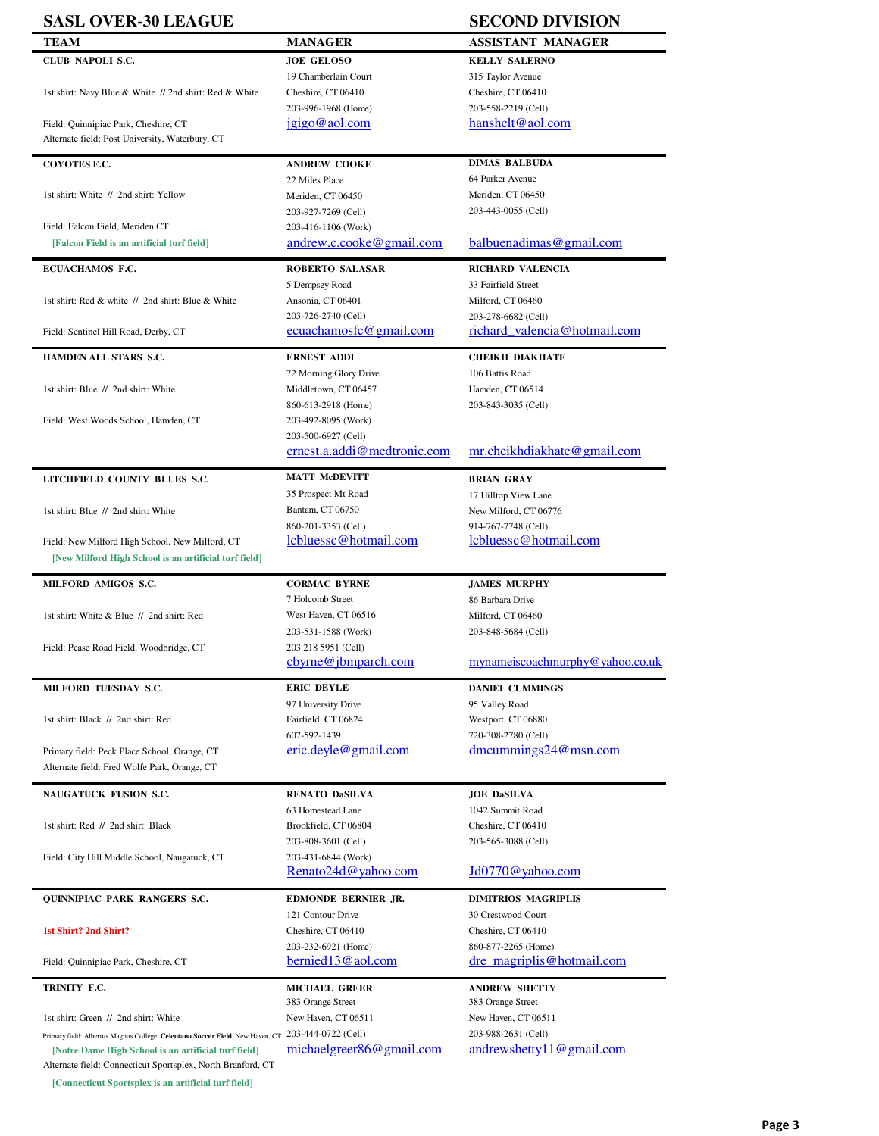| <b>SASL OVER-30 LEAGUE</b>                                                                                          |                                          | <b>SECOND DIVISION</b>                   |
|---------------------------------------------------------------------------------------------------------------------|------------------------------------------|------------------------------------------|
| TEAM                                                                                                                | MANAGER                                  | <b>ASSISTANT MANAGER</b>                 |
| CLUB NAPOLI S.C.                                                                                                    | <b>JOE GELOSO</b>                        | <b>KELLY SALERNO</b>                     |
|                                                                                                                     | 19 Chamberlain Court                     | 315 Taylor Avenue                        |
| 1st shirt: Navy Blue & White // 2nd shirt: Red & White                                                              | Cheshire, CT 06410                       | Cheshire, CT 06410                       |
|                                                                                                                     | 203-996-1968 (Home)                      | 203-558-2219 (Cell)                      |
| Field: Quinnipiac Park, Cheshire, CT                                                                                | jgigo@aol.com                            | hanshelt@aol.com                         |
| Alternate field: Post University, Waterbury, CT                                                                     |                                          |                                          |
|                                                                                                                     |                                          |                                          |
| COYOTES F.C.                                                                                                        | <b>ANDREW COOKE</b>                      | <b>DIMAS BALBUDA</b>                     |
|                                                                                                                     | 22 Miles Place                           | 64 Parker Avenue                         |
| 1st shirt: White // 2nd shirt: Yellow                                                                               | Meriden, CT 06450                        | Meriden. CT 06450                        |
|                                                                                                                     | 203-927-7269 (Cell)                      | 203-443-0055 (Cell)                      |
| Field: Falcon Field, Meriden CT                                                                                     | 203-416-1106 (Work)                      |                                          |
| [Falcon Field is an artificial turf field]                                                                          | andrew.c.cooke@gmail.com                 | balbuenadimas@gmail.com                  |
| ECUACHAMOS F.C.                                                                                                     | ROBERTO SALASAR                          | RICHARD VALENCIA                         |
|                                                                                                                     | 5 Dempsey Road                           | 33 Fairfield Street                      |
| 1st shirt: Red & white // 2nd shirt: Blue & White                                                                   | Ansonia, CT 06401                        | Milford, CT 06460                        |
|                                                                                                                     | 203-726-2740 (Cell)                      | 203-278-6682 (Cell)                      |
| Field: Sentinel Hill Road, Derby, CT                                                                                | ecuachamosfc@gmail.com                   | richard valencia@hotmail.com             |
|                                                                                                                     |                                          |                                          |
| HAMDEN ALL STARS S.C.                                                                                               | <b>ERNEST ADDI</b>                       | <b>CHEIKH DIAKHATE</b>                   |
|                                                                                                                     | 72 Morning Glory Drive                   | 106 Battis Road                          |
| 1st shirt: Blue // 2nd shirt: White                                                                                 | Middletown, CT 06457                     | Hamden, CT 06514                         |
|                                                                                                                     | 860-613-2918 (Home)                      | 203-843-3035 (Cell)                      |
| Field: West Woods School, Hamden, CT                                                                                | 203-492-8095 (Work)                      |                                          |
|                                                                                                                     | 203-500-6927 (Cell)                      |                                          |
|                                                                                                                     | ernest.a.addi@medtronic.com              | mr.cheikhdiakhate@gmail.com              |
|                                                                                                                     |                                          |                                          |
| LITCHFIELD COUNTY BLUES S.C.                                                                                        | <b>MATT McDEVITT</b>                     | <b>BRIAN GRAY</b>                        |
|                                                                                                                     | 35 Prospect Mt Road                      | 17 Hilltop View Lane                     |
| 1st shirt: Blue // 2nd shirt: White                                                                                 | Bantam, CT 06750                         | New Milford, CT 06776                    |
|                                                                                                                     | 860-201-3353 (Cell)                      | 914-767-7748 (Cell)                      |
| Field: New Milford High School, New Milford, CT                                                                     | lcbluessc@hotmail.com                    | lcbluessc@hotmail.com                    |
| [New Milford High School is an artificial turf field]                                                               |                                          |                                          |
| MILFORD AMIGOS S.C.                                                                                                 | <b>CORMAC BYRNE</b>                      | <b>JAMES MURPHY</b>                      |
|                                                                                                                     | 7 Holcomb Street                         | 86 Barbara Drive                         |
| 1st shirt: White & Blue // 2nd shirt: Red                                                                           | West Haven, CT 06516                     | Milford, CT 06460                        |
|                                                                                                                     | 203-531-1588 (Work)                      | 203-848-5684 (Cell)                      |
| Field: Pease Road Field, Woodbridge, CT                                                                             | 203 218 5951 (Cell)                      |                                          |
|                                                                                                                     | cbyrne@jbmparch.com                      | mynameiscoachmurphy@yahoo.co.uk          |
|                                                                                                                     |                                          |                                          |
| MILFORD TUESDAY S.C.                                                                                                | <b>ERIC DEYLE</b>                        | <b>DANIEL CUMMINGS</b>                   |
|                                                                                                                     | 97 University Drive                      | 95 Valley Road                           |
| 1st shirt: Black // 2nd shirt: Red                                                                                  | Fairfield, CT 06824                      | Westport, CT 06880                       |
|                                                                                                                     | 607-592-1439                             | 720-308-2780 (Cell)                      |
| Primary field: Peck Place School, Orange, CT                                                                        | eric.deyle@gmail.com                     | $d$ mcummings24@msn.com                  |
| Alternate field: Fred Wolfe Park, Orange, CT                                                                        |                                          |                                          |
| NAUGATUCK FUSION S.C.                                                                                               | RENATO DaSILVA                           | <b>JOE DaSILVA</b>                       |
|                                                                                                                     | 63 Homestead Lane                        | 1042 Summit Road                         |
| 1st shirt: Red // 2nd shirt: Black                                                                                  | Brookfield, CT 06804                     | Cheshire, CT 06410                       |
|                                                                                                                     | 203-808-3601 (Cell)                      | 203-565-3088 (Cell)                      |
| Field: City Hill Middle School, Naugatuck, CT                                                                       | 203-431-6844 (Work)                      |                                          |
|                                                                                                                     | Renato24d@yahoo.com                      | Jd0770@yahoo.com                         |
|                                                                                                                     |                                          |                                          |
| QUINNIPIAC PARK RANGERS S.C.                                                                                        | EDMONDE BERNIER JR.                      | <b>DIMITRIOS MAGRIPLIS</b>               |
|                                                                                                                     | 121 Contour Drive                        | 30 Crestwood Court                       |
| 1st Shirt? 2nd Shirt?                                                                                               | Cheshire, CT 06410                       | Cheshire, CT 06410                       |
|                                                                                                                     | 203-232-6921 (Home)                      | 860-877-2265 (Home)                      |
| Field: Quinnipiac Park, Cheshire, CT                                                                                | bernied13@aol.com                        | dre magriplis@hotmail.com                |
|                                                                                                                     |                                          |                                          |
| TRINITY F.C.                                                                                                        | <b>MICHAEL GREER</b>                     | <b>ANDREW SHETTY</b>                     |
| 1st shirt: Green // 2nd shirt: White                                                                                | 383 Orange Street<br>New Haven, CT 06511 | 383 Orange Street<br>New Haven, CT 06511 |
|                                                                                                                     | 203-444-0722 (Cell)                      | 203-988-2631 (Cell)                      |
| Primary field: Albertus Magnus College, Celentano Soccer Field, New Haven, CT                                       |                                          |                                          |
| [Notre Dame High School is an artificial turf field]<br>Alternate field: Connecticut Sportsplex, North Branford, CT | michaelgreer86@gmail.com                 | andrewshetty $11@$ gmail.com             |

**[Connecticut Sportsplex is an artificial turf field]**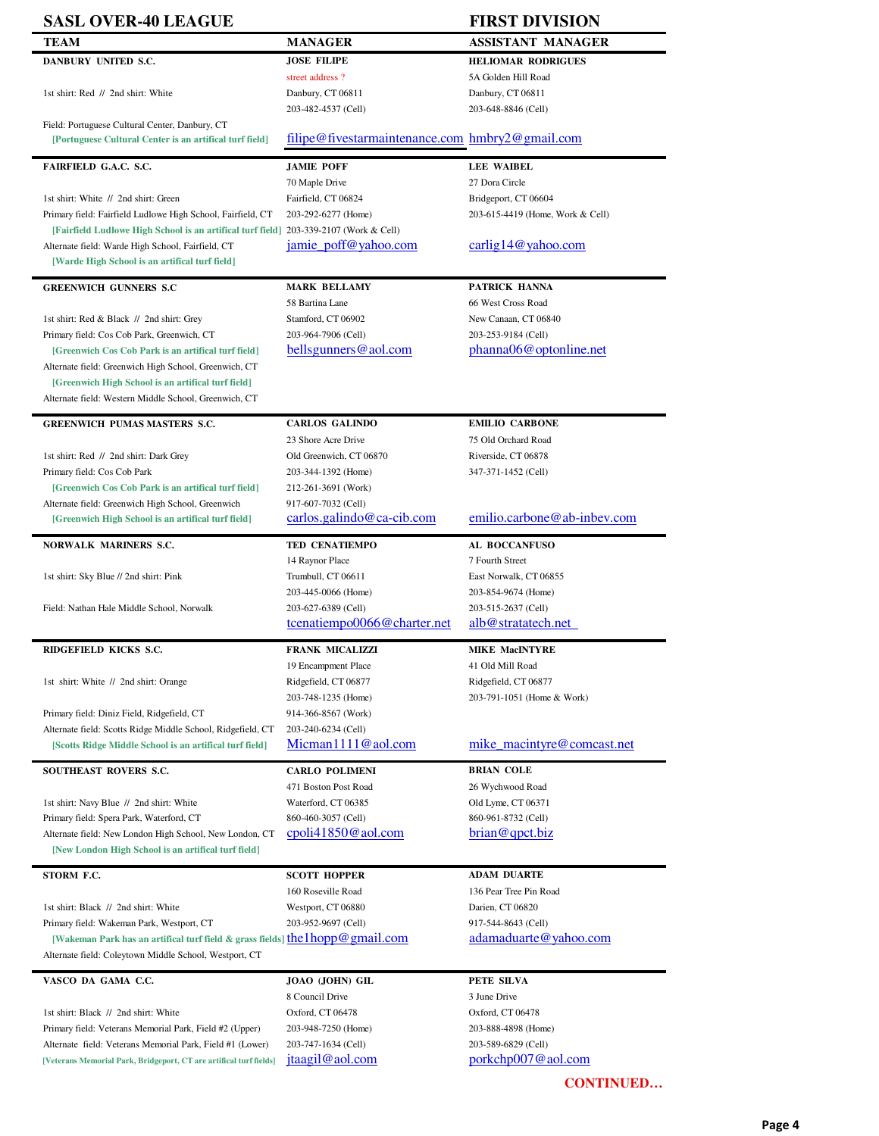| <b>SASL OVER-40 LEAGUE</b>                                                                                                                                                                                                                                                                                                                                                                                                                                     |                                                 | <b>FIRST DIVISION</b>                        |
|----------------------------------------------------------------------------------------------------------------------------------------------------------------------------------------------------------------------------------------------------------------------------------------------------------------------------------------------------------------------------------------------------------------------------------------------------------------|-------------------------------------------------|----------------------------------------------|
| <b>TEAM</b>                                                                                                                                                                                                                                                                                                                                                                                                                                                    | <b>MANAGER</b>                                  | <b>ASSISTANT MANAGER</b>                     |
| DANBURY UNITED S.C.                                                                                                                                                                                                                                                                                                                                                                                                                                            | <b>JOSE FILIPE</b>                              | <b>HELIOMAR RODRIGUES</b>                    |
|                                                                                                                                                                                                                                                                                                                                                                                                                                                                | street address?                                 | 5A Golden Hill Road                          |
| 1st shirt: Red // 2nd shirt: White                                                                                                                                                                                                                                                                                                                                                                                                                             | Danbury, CT 06811                               | Danbury, CT 06811                            |
|                                                                                                                                                                                                                                                                                                                                                                                                                                                                | 203-482-4537 (Cell)                             | 203-648-8846 (Cell)                          |
| Field: Portuguese Cultural Center, Danbury, CT<br>[Portuguese Cultural Center is an artifical turf field]                                                                                                                                                                                                                                                                                                                                                      | filipe@fivestarmaintenance.com hmbry2@gmail.com |                                              |
|                                                                                                                                                                                                                                                                                                                                                                                                                                                                |                                                 |                                              |
| FAIRFIELD G.A.C. S.C.                                                                                                                                                                                                                                                                                                                                                                                                                                          | <b>JAMIE POFF</b>                               | <b>LEE WAIBEL</b>                            |
|                                                                                                                                                                                                                                                                                                                                                                                                                                                                | 70 Maple Drive                                  | 27 Dora Circle                               |
| 1st shirt: White // 2nd shirt: Green                                                                                                                                                                                                                                                                                                                                                                                                                           | Fairfield, CT 06824                             | Bridgeport, CT 06604                         |
| Primary field: Fairfield Ludlowe High School, Fairfield, CT                                                                                                                                                                                                                                                                                                                                                                                                    | 203-292-6277 (Home)                             | 203-615-4419 (Home, Work & Cell)             |
| [Fairfield Ludlowe High School is an artifical turf field] 203-339-2107 (Work & Cell)                                                                                                                                                                                                                                                                                                                                                                          | jamie_poff@yahoo.com                            | carlig14@yahoo.com                           |
| Alternate field: Warde High School, Fairfield, CT<br>[Warde High School is an artifical turf field]                                                                                                                                                                                                                                                                                                                                                            |                                                 |                                              |
|                                                                                                                                                                                                                                                                                                                                                                                                                                                                |                                                 |                                              |
| <b>GREENWICH GUNNERS S.C</b>                                                                                                                                                                                                                                                                                                                                                                                                                                   | <b>MARK BELLAMY</b>                             | PATRICK HANNA                                |
|                                                                                                                                                                                                                                                                                                                                                                                                                                                                | 58 Bartina Lane                                 | 66 West Cross Road                           |
| 1st shirt: Red & Black // 2nd shirt: Grey                                                                                                                                                                                                                                                                                                                                                                                                                      | Stamford, CT 06902                              | New Canaan, CT 06840                         |
| Primary field: Cos Cob Park, Greenwich, CT                                                                                                                                                                                                                                                                                                                                                                                                                     | 203-964-7906 (Cell)                             | 203-253-9184 (Cell)                          |
| [Greenwich Cos Cob Park is an artifical turf field]<br>Alternate field: Greenwich High School, Greenwich, CT                                                                                                                                                                                                                                                                                                                                                   | bellsgunners@aol.com                            | phanna06@optonline.net                       |
| [Greenwich High School is an artifical turf field]                                                                                                                                                                                                                                                                                                                                                                                                             |                                                 |                                              |
| Alternate field: Western Middle School, Greenwich, CT                                                                                                                                                                                                                                                                                                                                                                                                          |                                                 |                                              |
| <b>GREENWICH PUMAS MASTERS S.C.</b>                                                                                                                                                                                                                                                                                                                                                                                                                            | <b>CARLOS GALINDO</b>                           | <b>EMILIO CARBONE</b>                        |
|                                                                                                                                                                                                                                                                                                                                                                                                                                                                | 23 Shore Acre Drive                             | 75 Old Orchard Road                          |
| 1st shirt: Red // 2nd shirt: Dark Grey                                                                                                                                                                                                                                                                                                                                                                                                                         | Old Greenwich, CT 06870                         | Riverside, CT 06878                          |
| Primary field: Cos Cob Park                                                                                                                                                                                                                                                                                                                                                                                                                                    | 203-344-1392 (Home)                             | 347-371-1452 (Cell)                          |
| [Greenwich Cos Cob Park is an artifical turf field]                                                                                                                                                                                                                                                                                                                                                                                                            | 212-261-3691 (Work)                             |                                              |
| Alternate field: Greenwich High School, Greenwich                                                                                                                                                                                                                                                                                                                                                                                                              | 917-607-7032 (Cell)                             |                                              |
| [Greenwich High School is an artifical turf field]                                                                                                                                                                                                                                                                                                                                                                                                             | carlos.galindo@ca-cib.com                       | emilio.carbone@ab-inbev.com                  |
| NORWALK MARINERS S.C.                                                                                                                                                                                                                                                                                                                                                                                                                                          | TED CENATIEMPO                                  | AL BOCCANFUSO                                |
|                                                                                                                                                                                                                                                                                                                                                                                                                                                                | 14 Raynor Place                                 | 7 Fourth Street                              |
| 1st shirt: Sky Blue // 2nd shirt: Pink                                                                                                                                                                                                                                                                                                                                                                                                                         | Trumbull, CT 06611                              | East Norwalk, CT 06855                       |
|                                                                                                                                                                                                                                                                                                                                                                                                                                                                | 203-445-0066 (Home)                             | 203-854-9674 (Home)                          |
| Field: Nathan Hale Middle School, Norwalk                                                                                                                                                                                                                                                                                                                                                                                                                      | 203-627-6389 (Cell)                             | 203-515-2637 (Cell)                          |
|                                                                                                                                                                                                                                                                                                                                                                                                                                                                | tcenatiempo0066@charter.net                     | alb@stratatech.net                           |
| RIDGEFIELD KICKS S.C.                                                                                                                                                                                                                                                                                                                                                                                                                                          | <b>FRANK MICALIZZI</b>                          | <b>MIKE MacINTYRE</b>                        |
|                                                                                                                                                                                                                                                                                                                                                                                                                                                                | 19 Encampment Place                             | 41 Old Mill Road                             |
| 1st shirt: White // 2nd shirt: Orange                                                                                                                                                                                                                                                                                                                                                                                                                          | Ridgefield, CT 06877                            | Ridgefield, CT 06877                         |
|                                                                                                                                                                                                                                                                                                                                                                                                                                                                | 203-748-1235 (Home)                             | 203-791-1051 (Home & Work)                   |
| Primary field: Diniz Field, Ridgefield, CT                                                                                                                                                                                                                                                                                                                                                                                                                     | 914-366-8567 (Work)                             |                                              |
| Alternate field: Scotts Ridge Middle School, Ridgefield, CT                                                                                                                                                                                                                                                                                                                                                                                                    | 203-240-6234 (Cell)                             |                                              |
|                                                                                                                                                                                                                                                                                                                                                                                                                                                                |                                                 |                                              |
| [Scotts Ridge Middle School is an artifical turf field]                                                                                                                                                                                                                                                                                                                                                                                                        | Micman1111@aol.com                              | mike macintyre@comcast.net                   |
|                                                                                                                                                                                                                                                                                                                                                                                                                                                                | <b>CARLO POLIMENI</b>                           | <b>BRIAN COLE</b>                            |
|                                                                                                                                                                                                                                                                                                                                                                                                                                                                | 471 Boston Post Road                            | 26 Wychwood Road                             |
|                                                                                                                                                                                                                                                                                                                                                                                                                                                                | Waterford, CT 06385                             | Old Lyme, CT 06371                           |
|                                                                                                                                                                                                                                                                                                                                                                                                                                                                | 860-460-3057 (Cell)                             | 860-961-8732 (Cell)                          |
| [New London High School is an artifical turf field]                                                                                                                                                                                                                                                                                                                                                                                                            | cpoli41850@aol.com                              | brain@qpt.biz                                |
|                                                                                                                                                                                                                                                                                                                                                                                                                                                                |                                                 |                                              |
|                                                                                                                                                                                                                                                                                                                                                                                                                                                                | <b>SCOTT HOPPER</b>                             | <b>ADAM DUARTE</b>                           |
|                                                                                                                                                                                                                                                                                                                                                                                                                                                                | 160 Roseville Road<br>Westport, CT 06880        | 136 Pear Tree Pin Road<br>Darien, CT 06820   |
|                                                                                                                                                                                                                                                                                                                                                                                                                                                                | 203-952-9697 (Cell)                             | 917-544-8643 (Cell)                          |
| [Wakeman Park has an artifical turf field & grass fields] the 1hopp@gmail.com                                                                                                                                                                                                                                                                                                                                                                                  |                                                 | adamaduarte@yahoo.com                        |
|                                                                                                                                                                                                                                                                                                                                                                                                                                                                |                                                 |                                              |
|                                                                                                                                                                                                                                                                                                                                                                                                                                                                |                                                 | PETE SILVA                                   |
|                                                                                                                                                                                                                                                                                                                                                                                                                                                                | JOAO (JOHN) GIL<br>8 Council Drive              | 3 June Drive                                 |
|                                                                                                                                                                                                                                                                                                                                                                                                                                                                | Oxford, CT 06478                                | Oxford, CT 06478                             |
| SOUTHEAST ROVERS S.C.<br>1st shirt: Navy Blue // 2nd shirt: White<br>Primary field: Spera Park, Waterford, CT<br>Alternate field: New London High School, New London, CT<br>STORM F.C.<br>1st shirt: Black // 2nd shirt: White<br>Primary field: Wakeman Park, Westport, CT<br>Alternate field: Coleytown Middle School, Westport, CT<br>VASCO DA GAMA C.C.<br>1st shirt: Black // 2nd shirt: White<br>Primary field: Veterans Memorial Park, Field #2 (Upper) | 203-948-7250 (Home)                             | 203-888-4898 (Home)                          |
| Alternate field: Veterans Memorial Park, Field #1 (Lower)                                                                                                                                                                                                                                                                                                                                                                                                      | 203-747-1634 (Cell)<br>jtaagil@aol.com          | 203-589-6829 (Cell)<br>$porkchp007@$ aol.com |

Page 4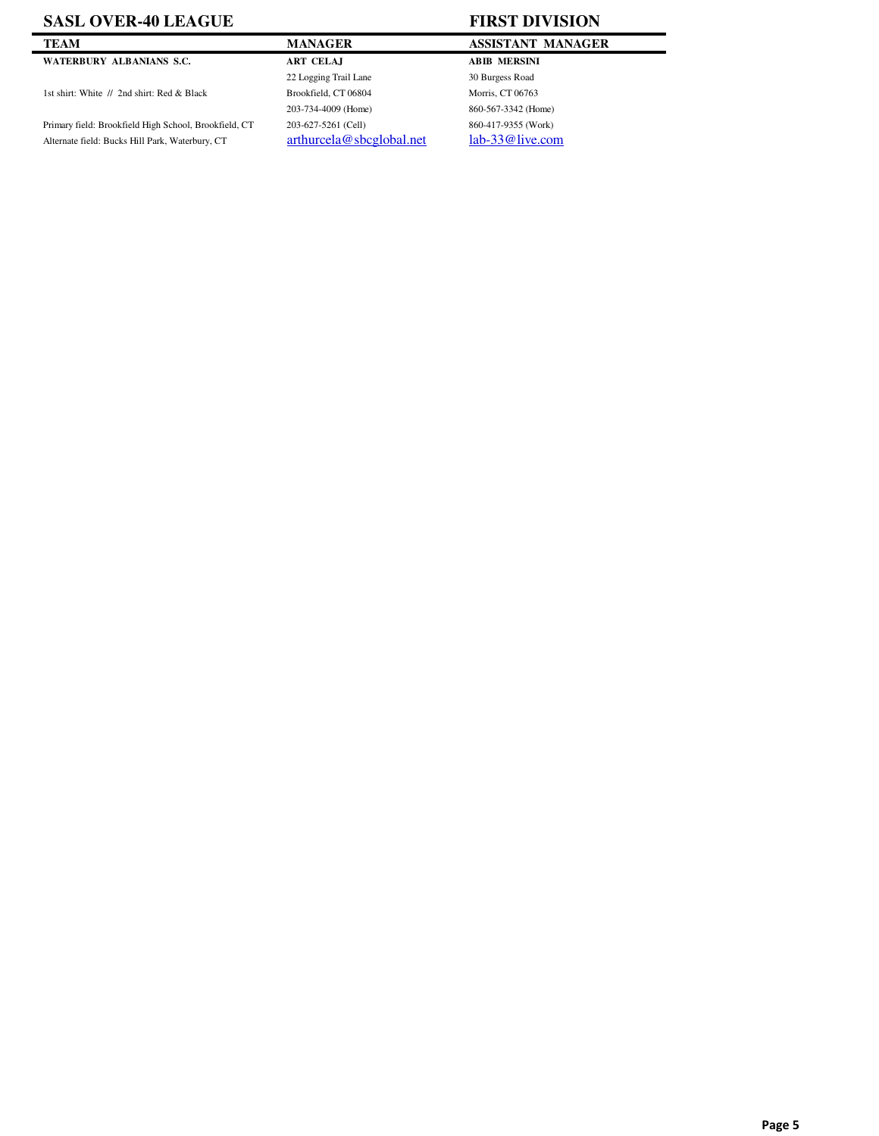### **SASL OVER-40 LEAGUE FIRST DIVISION**

#### **WATERBURY ALBANIANS S.C. ART CELAJ ABIB MERSINI**

1st shirt: White  $1/2$ nd shirt: Red & Black Brookfield, CT 06804 Morris, CT 06763

Primary field: Brookfield High School, Brookfield, CT 203-627-5261 (Cell) 860-417-9355 (Work) Alternate field: Bucks Hill Park, Waterbury, CT arthurcela@sbcglobal.net lab-33@live.com

# **TEAM MANAGER MANAGER ASSISTANT MANAGER** 22 Logging Trail Lane 30 Burgess Road 203-734-4009 (Home) 860-567-3342 (Home)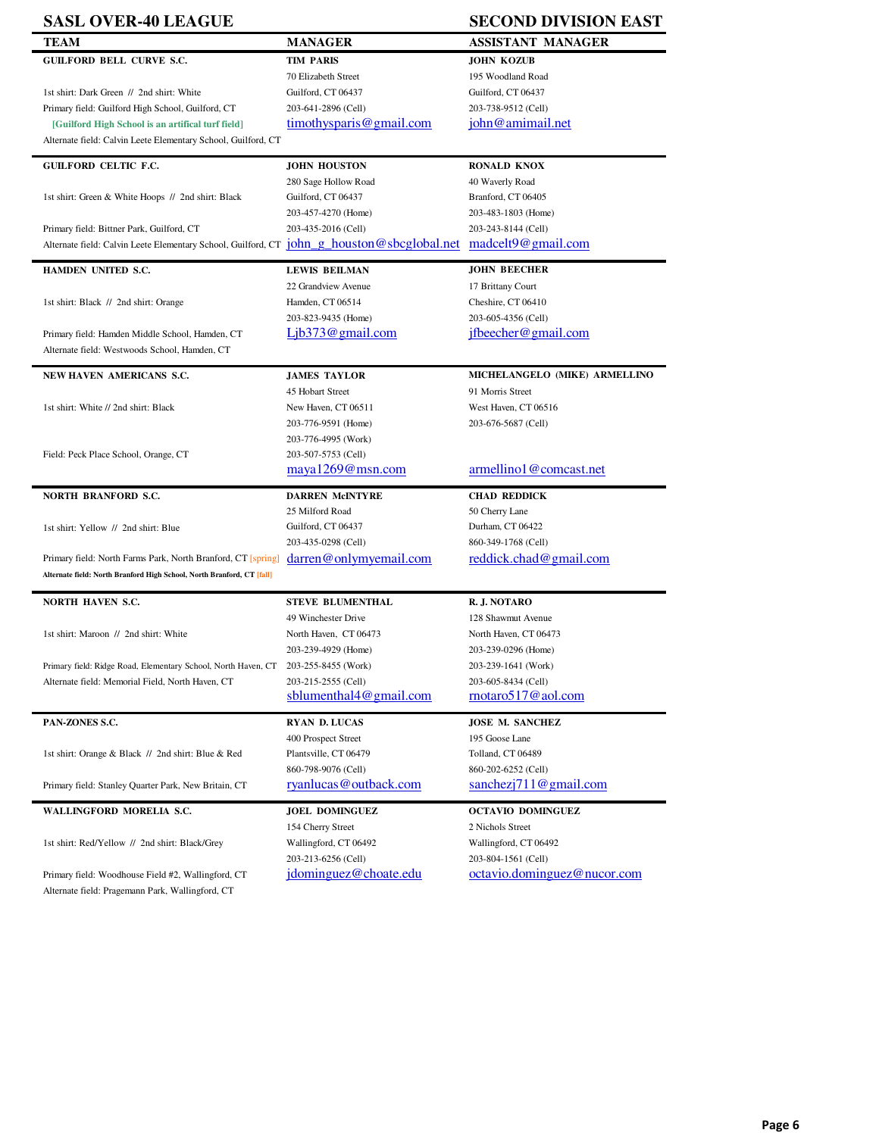# **SASL OVER-40 LEAGUE**

| .                                                                                               |                            | 9000119 DITIOIT DINGI                   |
|-------------------------------------------------------------------------------------------------|----------------------------|-----------------------------------------|
| TEAM                                                                                            | <b>MANAGER</b>             | ASSISTANT MANAGER                       |
| <b>GUILFORD BELL CURVE S.C.</b>                                                                 | <b>TIM PARIS</b>           | <b>JOHN KOZUB</b>                       |
|                                                                                                 | 70 Elizabeth Street        | 195 Woodland Road                       |
| 1st shirt: Dark Green // 2nd shirt: White                                                       | Guilford, CT 06437         | Guilford, CT 06437                      |
| Primary field: Guilford High School, Guilford, CT                                               | 203-641-2896 (Cell)        | 203-738-9512 (Cell)                     |
| [Guilford High School is an artifical turf field]                                               | timothysparis@gmail.com    | john@amimail.net                        |
|                                                                                                 |                            |                                         |
| Alternate field: Calvin Leete Elementary School, Guilford, CT                                   |                            |                                         |
| <b>GUILFORD CELTIC F.C.</b>                                                                     | <b>JOHN HOUSTON</b>        | <b>RONALD KNOX</b>                      |
|                                                                                                 | 280 Sage Hollow Road       | 40 Waverly Road                         |
| 1st shirt: Green & White Hoops // 2nd shirt: Black                                              | Guilford, CT 06437         | Branford, CT 06405                      |
|                                                                                                 | 203-457-4270 (Home)        | 203-483-1803 (Home)                     |
|                                                                                                 | 203-435-2016 (Cell)        | 203-243-8144 (Cell)                     |
| Primary field: Bittner Park, Guilford, CT                                                       |                            |                                         |
| Alternate field: Calvin Leete Elementary School, Guilford, CT johngham ng houston@sbcglobal.net |                            | madeel 9@gmail.com                      |
| <b>HAMDEN UNITED S.C.</b>                                                                       | <b>LEWIS BEILMAN</b>       | <b>JOHN BEECHER</b>                     |
|                                                                                                 | 22 Grandview Avenue        | 17 Brittany Court                       |
| 1st shirt: Black // 2nd shirt: Orange                                                           | Hamden, CT 06514           | Cheshire, CT 06410                      |
|                                                                                                 | 203-823-9435 (Home)        | 203-605-4356 (Cell)                     |
|                                                                                                 | $Lib373@$ gmail.com        | ifbeecher@gmail.com                     |
| Primary field: Hamden Middle School, Hamden, CT                                                 |                            |                                         |
| Alternate field: Westwoods School, Hamden, CT                                                   |                            |                                         |
| NEW HAVEN AMERICANS S.C.                                                                        | <b>JAMES TAYLOR</b>        | MICHELANGELO (MIKE) ARMELLINO           |
|                                                                                                 | 45 Hobart Street           | 91 Morris Street                        |
| 1st shirt: White // 2nd shirt: Black                                                            | New Haven, CT 06511        | West Haven, CT 06516                    |
|                                                                                                 | 203-776-9591 (Home)        | 203-676-5687 (Cell)                     |
|                                                                                                 |                            |                                         |
|                                                                                                 | 203-776-4995 (Work)        |                                         |
| Field: Peck Place School, Orange, CT                                                            | 203-507-5753 (Cell)        |                                         |
|                                                                                                 | maxa1269@msn.com           | armellino1@comcast.net                  |
| <b>NORTH BRANFORD S.C.</b>                                                                      | <b>DARREN McINTYRE</b>     | <b>CHAD REDDICK</b>                     |
|                                                                                                 | 25 Milford Road            | 50 Cherry Lane                          |
| 1st shirt: Yellow // 2nd shirt: Blue                                                            | Guilford, CT 06437         | Durham, CT 06422                        |
|                                                                                                 | 203-435-0298 (Cell)        | 860-349-1768 (Cell)                     |
| Primary field: North Farms Park, North Branford, CT [spring]                                    | darren@onlymyemail.com     | reddick.chad@gmail.com                  |
|                                                                                                 |                            |                                         |
| Alternate field: North Branford High School, North Branford, CT [fall]                          |                            |                                         |
| NORTH HAVEN S.C.                                                                                | <b>STEVE BLUMENTHAL</b>    | R. J. NOTARO                            |
|                                                                                                 | 49 Winchester Drive        | 128 Shawmut Avenue                      |
| 1st shirt: Maroon // 2nd shirt: White                                                           | North Haven, CT 06473      | North Haven, CT 06473                   |
|                                                                                                 |                            |                                         |
|                                                                                                 | 203-239-4929 (Home)        | 203-239-0296 (Home)                     |
| Primary field: Ridge Road, Elementary School, North Haven, CT                                   | 203-255-8455 (Work)        | 203-239-1641 (Work)                     |
| Alternate field: Memorial Field, North Haven, CT                                                | 203-215-2555 (Cell)        | 203-605-8434 (Cell)                     |
|                                                                                                 | sblumenthal $4@$ gmail.com | $\frac{\text{motaro517@aol.com}}{1000}$ |
| PAN-ZONES S.C.                                                                                  | <b>RYAN D. LUCAS</b>       | JOSE M. SANCHEZ                         |
|                                                                                                 | 400 Prospect Street        | 195 Goose Lane                          |
| 1st shirt: Orange & Black // 2nd shirt: Blue & Red                                              | Plantsville, CT 06479      | Tolland, CT 06489                       |
|                                                                                                 | 860-798-9076 (Cell)        |                                         |
|                                                                                                 |                            | 860-202-6252 (Cell)                     |
| Primary field: Stanley Quarter Park, New Britain, CT                                            | ryanlucas@outback.com      | sanehezj711@gmail.com                   |
| WALLINGFORD MORELIA S.C.                                                                        | <b>JOEL DOMINGUEZ</b>      | <b>OCTAVIO DOMINGUEZ</b>                |
|                                                                                                 | 154 Cherry Street          | 2 Nichols Street                        |
| 1st shirt: Red/Yellow // 2nd shirt: Black/Grey                                                  | Wallingford, CT 06492      | Wallingford, CT 06492                   |
|                                                                                                 | 203-213-6256 (Cell)        | 203-804-1561 (Cell)                     |
|                                                                                                 | jdominguez@choate.edu      | octavio.dominguez@nucor.com             |
| Primary field: Woodhouse Field #2, Wallingford, CT                                              |                            |                                         |
| Alternate field: Pragemann Park, Wallingford, CT                                                |                            |                                         |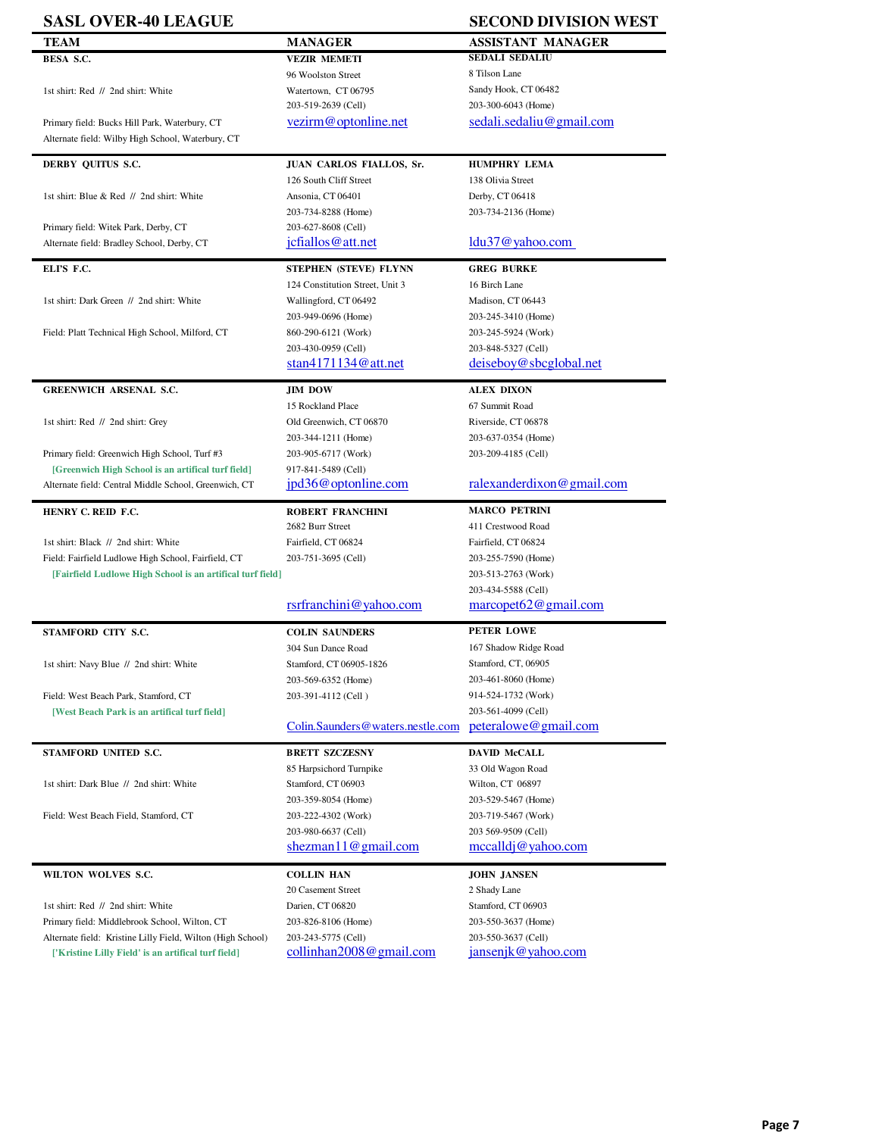| <b>SASL OVER-40 LEAGUE</b>                                                                                                                                                                                        |                                            | <b>SECOND DIVISION WEST</b>                 |
|-------------------------------------------------------------------------------------------------------------------------------------------------------------------------------------------------------------------|--------------------------------------------|---------------------------------------------|
| <b>TEAM</b>                                                                                                                                                                                                       | <b>MANAGER</b>                             | <b>ASSISTANT MANAGER</b>                    |
| BESA S.C.                                                                                                                                                                                                         | <b>VEZIR MEMETI</b>                        | <b>SEDALI SEDALIU</b>                       |
|                                                                                                                                                                                                                   | 96 Woolston Street                         | 8 Tilson Lane                               |
| 1st shirt: Red // 2nd shirt: White                                                                                                                                                                                | Watertown, CT 06795                        | Sandy Hook, CT 06482                        |
|                                                                                                                                                                                                                   | 203-519-2639 (Cell)                        | 203-300-6043 (Home)                         |
| Primary field: Bucks Hill Park, Waterbury, CT                                                                                                                                                                     | vezirm@optonline.net                       | sedali.sedaliu@gmail.com                    |
| Alternate field: Wilby High School, Waterbury, CT                                                                                                                                                                 |                                            |                                             |
|                                                                                                                                                                                                                   |                                            |                                             |
| DERBY QUITUS S.C.                                                                                                                                                                                                 | JUAN CARLOS FIALLOS, Sr.                   | <b>HUMPHRY LEMA</b>                         |
|                                                                                                                                                                                                                   | 126 South Cliff Street                     | 138 Olivia Street                           |
| 1st shirt: Blue & Red // 2nd shirt: White                                                                                                                                                                         | Ansonia, CT 06401                          | Derby, CT 06418                             |
|                                                                                                                                                                                                                   | 203-734-8288 (Home)                        | 203-734-2136 (Home)                         |
| Primary field: Witek Park, Derby, CT                                                                                                                                                                              | 203-627-8608 (Cell)                        |                                             |
| Alternate field: Bradley School, Derby, CT                                                                                                                                                                        | jcfiallos@att.net                          | $ldu37@$ yahoo.com                          |
|                                                                                                                                                                                                                   |                                            |                                             |
| ELI'S F.C.                                                                                                                                                                                                        | STEPHEN (STEVE) FLYNN                      | <b>GREG BURKE</b>                           |
|                                                                                                                                                                                                                   | 124 Constitution Street, Unit 3            | 16 Birch Lane                               |
| 1st shirt: Dark Green // 2nd shirt: White                                                                                                                                                                         | Wallingford, CT 06492                      | Madison, CT 06443                           |
|                                                                                                                                                                                                                   | 203-949-0696 (Home)                        | 203-245-3410 (Home)                         |
| Field: Platt Technical High School, Milford, CT                                                                                                                                                                   | 860-290-6121 (Work)                        | 203-245-5924 (Work)                         |
|                                                                                                                                                                                                                   | 203-430-0959 (Cell)                        | 203-848-5327 (Cell)                         |
|                                                                                                                                                                                                                   | stan $4171134@$ att.net                    | deiseboy@sbcglobal.net                      |
|                                                                                                                                                                                                                   |                                            |                                             |
| <b>GREENWICH ARSENAL S.C.</b>                                                                                                                                                                                     | <b>JIM DOW</b>                             | <b>ALEX DIXON</b>                           |
|                                                                                                                                                                                                                   | 15 Rockland Place                          | 67 Summit Road                              |
| 1st shirt: Red // 2nd shirt: Grey                                                                                                                                                                                 | Old Greenwich, CT 06870                    | Riverside, CT 06878                         |
|                                                                                                                                                                                                                   | 203-344-1211 (Home)                        | 203-637-0354 (Home)                         |
| Primary field: Greenwich High School, Turf #3                                                                                                                                                                     | 203-905-6717 (Work)                        | 203-209-4185 (Cell)                         |
| [Greenwich High School is an artifical turf field]                                                                                                                                                                | 917-841-5489 (Cell)                        |                                             |
| Alternate field: Central Middle School, Greenwich, CT                                                                                                                                                             | jpd36@optonline.com                        | ralexanderdixon@gmail.com                   |
| HENRY C. REID F.C.                                                                                                                                                                                                | ROBERT FRANCHINI                           | <b>MARCO PETRINI</b>                        |
|                                                                                                                                                                                                                   |                                            | 411 Crestwood Road                          |
|                                                                                                                                                                                                                   | 2682 Burr Street                           |                                             |
| 1st shirt: Black // 2nd shirt: White                                                                                                                                                                              | Fairfield, CT 06824                        | Fairfield, CT 06824                         |
| Field: Fairfield Ludlowe High School, Fairfield, CT                                                                                                                                                               | 203-751-3695 (Cell)                        | 203-255-7590 (Home)                         |
| [Fairfield Ludlowe High School is an artifical turf field]                                                                                                                                                        |                                            | 203-513-2763 (Work)                         |
|                                                                                                                                                                                                                   |                                            | 203-434-5588 (Cell)                         |
|                                                                                                                                                                                                                   | rsrfranchini@yahoo.com                     | marcopet62@gmail.com                        |
| STAMFORD CITY S.C.                                                                                                                                                                                                | <b>COLIN SAUNDERS</b>                      | PETER LOWE                                  |
|                                                                                                                                                                                                                   | 304 Sun Dance Road                         | 167 Shadow Ridge Road                       |
|                                                                                                                                                                                                                   | Stamford, CT 06905-1826                    | Stamford, CT, 06905                         |
| 1st shirt: Navy Blue // 2nd shirt: White                                                                                                                                                                          | 203-569-6352 (Home)                        | 203-461-8060 (Home)                         |
|                                                                                                                                                                                                                   |                                            | 914-524-1732 (Work)                         |
| Field: West Beach Park, Stamford, CT                                                                                                                                                                              | 203-391-4112 (Cell)                        |                                             |
| [West Beach Park is an artifical turf field]                                                                                                                                                                      |                                            | 203-561-4099 (Cell)<br>peteralowe@gmail.com |
|                                                                                                                                                                                                                   | Colin.Saunders@waters.nestle.com           |                                             |
| STAMFORD UNITED S.C.                                                                                                                                                                                              | <b>BRETT SZCZESNY</b>                      | <b>DAVID McCALL</b>                         |
|                                                                                                                                                                                                                   | 85 Harpsichord Turnpike                    | 33 Old Wagon Road                           |
| 1st shirt: Dark Blue // 2nd shirt: White                                                                                                                                                                          | Stamford, CT 06903                         | Wilton, CT 06897                            |
|                                                                                                                                                                                                                   |                                            |                                             |
|                                                                                                                                                                                                                   |                                            |                                             |
|                                                                                                                                                                                                                   | 203-359-8054 (Home)                        | 203-529-5467 (Home)                         |
|                                                                                                                                                                                                                   | 203-222-4302 (Work)                        | 203-719-5467 (Work)                         |
|                                                                                                                                                                                                                   | 203-980-6637 (Cell)                        | 203 569-9509 (Cell)                         |
|                                                                                                                                                                                                                   | shezman11@gmail.com                        | $\mathrm{mccalldi}@$ yahoo.com              |
|                                                                                                                                                                                                                   | <b>COLLIN HAN</b>                          | <b>JOHN JANSEN</b>                          |
|                                                                                                                                                                                                                   | 20 Casement Street                         | 2 Shady Lane                                |
|                                                                                                                                                                                                                   |                                            |                                             |
|                                                                                                                                                                                                                   | Darien, CT 06820                           | Stamford, CT 06903                          |
| Field: West Beach Field, Stamford, CT<br>WILTON WOLVES S.C.<br>1st shirt: Red // 2nd shirt: White<br>Primary field: Middlebrook School, Wilton, CT<br>Alternate field: Kristine Lilly Field, Wilton (High School) | 203-826-8106 (Home)<br>203-243-5775 (Cell) | 203-550-3637 (Home)<br>203-550-3637 (Cell)  |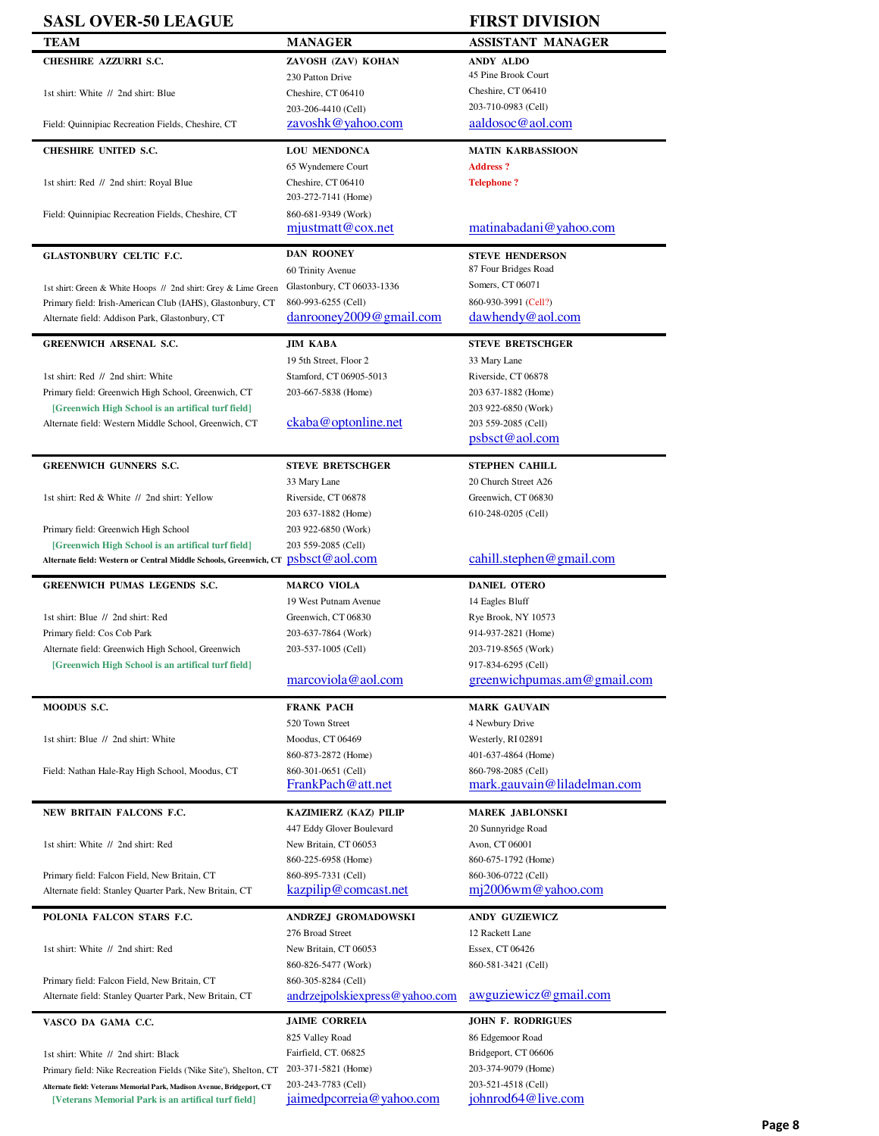| <b>SASL OVER-50 LEAGUE</b>                                                       |                                                    | <b>FIRST DIVISION</b>                |
|----------------------------------------------------------------------------------|----------------------------------------------------|--------------------------------------|
| <b>TEAM</b>                                                                      | MANAGER                                            | <b>ASSISTANT MANAGER</b>             |
| CHESHIRE AZZURRI S.C.                                                            | ZAVOSH (ZAV) KOHAN                                 | <b>ANDY ALDO</b>                     |
|                                                                                  | 230 Patton Drive                                   | 45 Pine Brook Court                  |
| 1st shirt: White // 2nd shirt: Blue                                              | Cheshire, CT 06410                                 | Cheshire, CT 06410                   |
|                                                                                  | 203-206-4410 (Cell)                                | 203-710-0983 (Cell)                  |
| Field: Quinnipiac Recreation Fields, Cheshire, CT                                | zavoshk@yahoo.com                                  | aaldosoc@aol.com                     |
| <b>CHESHIRE UNITED S.C.</b>                                                      | <b>LOU MENDONCA</b>                                | <b>MATIN KARBASSIOON</b>             |
|                                                                                  | 65 Wyndemere Court                                 | <b>Address?</b>                      |
| 1st shirt: Red // 2nd shirt: Royal Blue                                          | Cheshire, CT 06410                                 | <b>Telephone?</b>                    |
|                                                                                  | 203-272-7141 (Home)                                |                                      |
| Field: Quinnipiac Recreation Fields, Cheshire, CT                                | 860-681-9349 (Work)                                |                                      |
|                                                                                  | mjustmat@cox.net                                   | matinabadani@yahoo.com               |
| <b>GLASTONBURY CELTIC F.C.</b>                                                   | <b>DAN ROONEY</b>                                  | <b>STEVE HENDERSON</b>               |
|                                                                                  | 60 Trinity Avenue                                  | 87 Four Bridges Road                 |
| 1st shirt: Green & White Hoops // 2nd shirt: Grey & Lime Green                   | Glastonbury, CT 06033-1336                         | Somers, CT 06071                     |
| Primary field: Irish-American Club (IAHS), Glastonbury, CT                       | 860-993-6255 (Cell)                                | 860-930-3991 (Cell?)                 |
| Alternate field: Addison Park, Glastonbury, CT                                   | $d$ anrooney2009@gmail.com                         | dawhendy@aol.com                     |
|                                                                                  |                                                    |                                      |
| <b>GREENWICH ARSENAL S.C.</b>                                                    | JIM KABA                                           | <b>STEVE BRETSCHGER</b>              |
|                                                                                  | 19 5th Street, Floor 2                             | 33 Mary Lane                         |
| 1st shirt: Red // 2nd shirt: White                                               | Stamford, CT 06905-5013                            | Riverside, CT 06878                  |
| Primary field: Greenwich High School, Greenwich, CT                              | 203-667-5838 (Home)                                | 203 637-1882 (Home)                  |
| [Greenwich High School is an artifical turf field]                               |                                                    | 203 922-6850 (Work)                  |
| Alternate field: Western Middle School, Greenwich, CT                            | ckaba@optonline.net                                | 203 559-2085 (Cell)                  |
|                                                                                  |                                                    | psbsct@aol.com                       |
| <b>GREENWICH GUNNERS S.C.</b>                                                    | <b>STEVE BRETSCHGER</b>                            | <b>STEPHEN CAHILL</b>                |
|                                                                                  | 33 Mary Lane                                       | 20 Church Street A26                 |
| 1st shirt: Red & White // 2nd shirt: Yellow                                      | Riverside, CT 06878                                | Greenwich, CT 06830                  |
|                                                                                  | 203 637-1882 (Home)                                | 610-248-0205 (Cell)                  |
| Primary field: Greenwich High School                                             | 203 922-6850 (Work)                                |                                      |
| [Greenwich High School is an artifical turf field]                               | 203 559-2085 (Cell)                                |                                      |
| Alternate field: Western or Central Middle Schools, Greenwich, CT psbsct@aol.com |                                                    | cahill.stephen@gmail.com             |
| GREENWICH PUMAS LEGENDS S.C.                                                     | <b>MARCO VIOLA</b>                                 | <b>DANIEL OTERO</b>                  |
|                                                                                  | 19 West Putnam Avenue                              | 14 Eagles Bluff                      |
| 1st shirt: Blue // 2nd shirt: Red                                                | Greenwich, CT 06830                                | Rye Brook, NY 10573                  |
| Primary field: Cos Cob Park                                                      | 203-637-7864 (Work)                                | 914-937-2821 (Home)                  |
| Alternate field: Greenwich High School, Greenwich                                | 203-537-1005 (Cell)                                | 203-719-8565 (Work)                  |
| [Greenwich High School is an artifical turf field]                               |                                                    | 917-834-6295 (Cell)                  |
|                                                                                  | marcoviola@aol.com                                 | greenwichpumas.am@gmail.com          |
| MOODUS S.C.                                                                      | <b>FRANK PACH</b>                                  | <b>MARK GAUVAIN</b>                  |
|                                                                                  | 520 Town Street                                    | 4 Newbury Drive                      |
| 1st shirt: Blue // 2nd shirt: White                                              | Moodus, CT 06469                                   | Westerly, RI 02891                   |
|                                                                                  | 860-873-2872 (Home)                                | 401-637-4864 (Home)                  |
| Field: Nathan Hale-Ray High School, Moodus, CT                                   | 860-301-0651 (Cell)                                | 860-798-2085 (Cell)                  |
|                                                                                  | FrankPach@att.net                                  | mark.gauvain@liladelman.com          |
|                                                                                  |                                                    |                                      |
| NEW BRITAIN FALCONS F.C.                                                         | KAZIMIERZ (KAZ) PILIP                              | MAREK JABLONSKI                      |
| 1st shirt: White // 2nd shirt: Red                                               | 447 Eddy Glover Boulevard<br>New Britain, CT 06053 | 20 Sunnyridge Road<br>Avon, CT 06001 |
|                                                                                  | 860-225-6958 (Home)                                | 860-675-1792 (Home)                  |
| Primary field: Falcon Field, New Britain, CT                                     | 860-895-7331 (Cell)                                | 860-306-0722 (Cell)                  |
| Alternate field: Stanley Quarter Park, New Britain, CT                           | kazpilip@comcast.net                               | mj2006wm@yahoo.com                   |
|                                                                                  |                                                    |                                      |
| POLONIA FALCON STARS F.C.                                                        | ANDRZEJ GROMADOWSKI                                | <b>ANDY GUZIEWICZ</b>                |
|                                                                                  | 276 Broad Street                                   | 12 Rackett Lane                      |
| 1st shirt: White // 2nd shirt: Red                                               | New Britain, CT 06053                              | Essex, CT 06426                      |
|                                                                                  | 860-826-5477 (Work)                                | 860-581-3421 (Cell)                  |
| Primary field: Falcon Field, New Britain, CT                                     | 860-305-8284 (Cell)                                |                                      |
| Alternate field: Stanley Quarter Park, New Britain, CT                           | andrzejpolskiexpress@yahoo.com                     | awguziewicz@gmail.com                |
| VASCO DA GAMA C.C.                                                               | <b>JAIME CORREIA</b>                               | <b>JOHN F. RODRIGUES</b>             |
|                                                                                  | 825 Valley Road                                    | 86 Edgemoor Road                     |
| 1st shirt: White // 2nd shirt: Black                                             | Fairfield, CT. 06825                               | Bridgeport, CT 06606                 |
| Primary field: Nike Recreation Fields ('Nike Site'), Shelton, CT                 | 203-371-5821 (Home)                                | 203-374-9079 (Home)                  |
| Alternate field: Veterans Memorial Park, Madison Avenue, Bridgeport, CT          | 203-243-7783 (Cell)                                | 203-521-4518 (Cell)                  |
| [Veterans Memorial Park is an artifical turf field]                              | <u>jaimedpcorreia@yahoo.com</u>                    | johnrod64@live.com                   |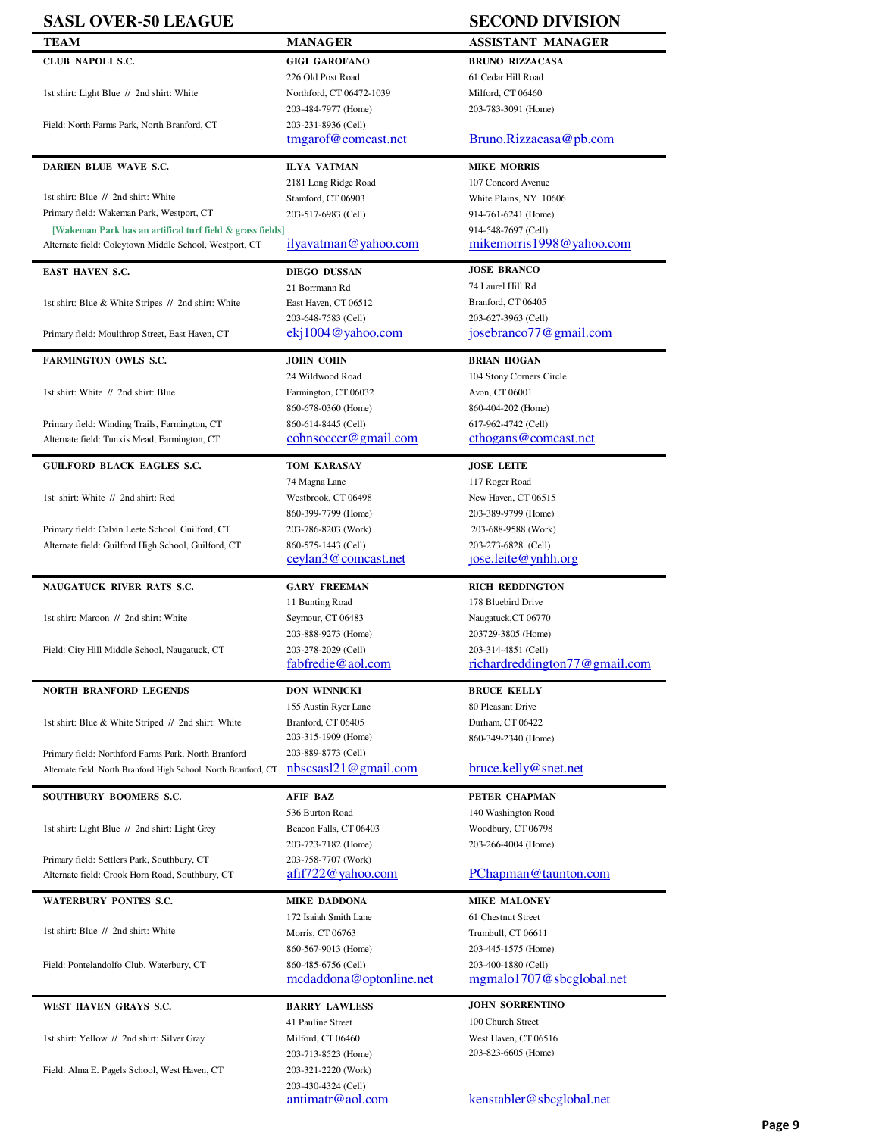| <b>SASL OVER-50 LEAGUE</b>                                                                    |                                                              | <b>SECOND DIVISION</b>                          |
|-----------------------------------------------------------------------------------------------|--------------------------------------------------------------|-------------------------------------------------|
| <b>TEAM</b>                                                                                   | <b>MANAGER</b>                                               | <b>ASSISTANT MANAGER</b>                        |
| CLUB NAPOLI S.C.                                                                              | <b>GIGI GAROFANO</b>                                         | <b>BRUNO RIZZACASA</b>                          |
|                                                                                               | 226 Old Post Road                                            | 61 Cedar Hill Road                              |
| 1st shirt: Light Blue // 2nd shirt: White                                                     | Northford, CT 06472-1039                                     | Milford, CT 06460                               |
|                                                                                               | 203-484-7977 (Home)                                          | 203-783-3091 (Home)                             |
| Field: North Farms Park, North Branford, CT                                                   | 203-231-8936 (Cell)                                          |                                                 |
|                                                                                               | tmgarof@comcast.net                                          | Bruno.Rizzacasa@pb.com                          |
| DARIEN BLUE WAVE S.C.                                                                         | <b>ILYA VATMAN</b>                                           | <b>MIKE MORRIS</b>                              |
|                                                                                               | 2181 Long Ridge Road                                         | 107 Concord Avenue                              |
| 1st shirt: Blue // 2nd shirt: White                                                           | Stamford, CT 06903                                           | White Plains, NY 10606                          |
| Primary field: Wakeman Park, Westport, CT                                                     | 203-517-6983 (Cell)                                          | 914-761-6241 (Home)                             |
| [Wakeman Park has an artifical turf field & grass fields]                                     | ilyavatman@yahoo.com                                         | 914-548-7697 (Cell)<br>mikemorris1998@yahoo.com |
| Alternate field: Coleytown Middle School, Westport, CT                                        |                                                              |                                                 |
| <b>EAST HAVEN S.C.</b>                                                                        | <b>DIEGO DUSSAN</b>                                          | <b>JOSE BRANCO</b>                              |
|                                                                                               | 21 Borrmann Rd                                               | 74 Laurel Hill Rd                               |
| 1st shirt: Blue & White Stripes // 2nd shirt: White                                           | East Haven, CT 06512                                         | Branford, CT 06405                              |
|                                                                                               | 203-648-7583 (Cell)<br>$eki1004@$ yahoo.com                  | 203-627-3963 (Cell)<br>josebranco77@gmail.com   |
| Primary field: Moulthrop Street, East Haven, CT                                               |                                                              |                                                 |
| <b>FARMINGTON OWLS S.C.</b>                                                                   | JOHN COHN                                                    | <b>BRIAN HOGAN</b>                              |
|                                                                                               | 24 Wildwood Road                                             | 104 Stony Corners Circle                        |
| 1st shirt: White // 2nd shirt: Blue                                                           | Farmington, CT 06032                                         | Avon, CT 06001                                  |
|                                                                                               | 860-678-0360 (Home)                                          | 860-404-202 (Home)                              |
| Primary field: Winding Trails, Farmington, CT<br>Alternate field: Tunxis Mead, Farmington, CT | 860-614-8445 (Cell)<br>cohnsoccer@gmail.com                  | 617-962-4742 (Cell)<br>cthogans@comcast.net     |
|                                                                                               |                                                              |                                                 |
| <b>GUILFORD BLACK EAGLES S.C.</b>                                                             | TOM KARASAY                                                  | <b>JOSE LEITE</b>                               |
|                                                                                               | 74 Magna Lane                                                | 117 Roger Road                                  |
| 1st shirt: White // 2nd shirt: Red                                                            | Westbrook, CT 06498                                          | New Haven, CT 06515                             |
| Primary field: Calvin Leete School, Guilford, CT                                              | 860-399-7799 (Home)<br>203-786-8203 (Work)                   | 203-389-9799 (Home)<br>203-688-9588 (Work)      |
| Alternate field: Guilford High School, Guilford, CT                                           | 860-575-1443 (Cell)                                          | 203-273-6828 (Cell)                             |
|                                                                                               | ceylan3@comcast.net                                          | jose.leite@ynhh.org                             |
|                                                                                               |                                                              |                                                 |
| NAUGATUCK RIVER RATS S.C.                                                                     | <b>GARY FREEMAN</b><br>11 Bunting Road                       | <b>RICH REDDINGTON</b><br>178 Bluebird Drive    |
| 1st shirt: Maroon // 2nd shirt: White                                                         | Seymour, CT 06483                                            | Naugatuck, CT 06770                             |
|                                                                                               | 203-888-9273 (Home)                                          | 203729-3805 (Home)                              |
| Field: City Hill Middle School, Naugatuck, CT                                                 | 203-278-2029 (Cell)                                          | 203-314-4851 (Cell)                             |
|                                                                                               | fabfredie@aol.com                                            | richardreddington77@gmail.com                   |
| <b>NORTH BRANFORD LEGENDS</b>                                                                 | <b>DON WINNICKI</b>                                          | <b>BRUCE KELLY</b>                              |
|                                                                                               | 155 Austin Ryer Lane                                         | 80 Pleasant Drive                               |
| 1st shirt: Blue & White Striped // 2nd shirt: White                                           | Branford, CT 06405                                           | Durham, CT 06422                                |
|                                                                                               | 203-315-1909 (Home)                                          | 860-349-2340 (Home)                             |
| Primary field: Northford Farms Park, North Branford                                           | 203-889-8773 (Cell)                                          |                                                 |
| Alternate field: North Branford High School, North Branford, CT                               | nbscsas121@gmail.com                                         | bruce.kelly@snet.net                            |
| SOUTHBURY BOOMERS S.C.                                                                        | <b>AFIF BAZ</b>                                              | PETER CHAPMAN                                   |
|                                                                                               | 536 Burton Road                                              | 140 Washington Road                             |
| 1st shirt: Light Blue // 2nd shirt: Light Grey                                                | Beacon Falls, CT 06403                                       | Woodbury, CT 06798                              |
|                                                                                               | 203-723-7182 (Home)                                          | 203-266-4004 (Home)                             |
| Primary field: Settlers Park, Southbury, CT                                                   | 203-758-7707 (Work)<br>$a\frac{f}{f}$ afif $722$ @ yahoo.com | PChapman@taunton.com                            |
| Alternate field: Crook Horn Road, Southbury, CT                                               |                                                              |                                                 |
| WATERBURY PONTES S.C.                                                                         | <b>MIKE DADDONA</b>                                          | <b>MIKE MALONEY</b>                             |
|                                                                                               | 172 Isaiah Smith Lane                                        | 61 Chestnut Street                              |
| 1st shirt: Blue // 2nd shirt: White                                                           | Morris, CT 06763                                             | Trumbull, CT 06611                              |
|                                                                                               | 860-567-9013 (Home)<br>860-485-6756 (Cell)                   | 203-445-1575 (Home)<br>203-400-1880 (Cell)      |
| Field: Pontelandolfo Club, Waterbury, CT                                                      | mcdaddona@optonline.net                                      | mgmalo1707@sbcglobal.net                        |
|                                                                                               |                                                              |                                                 |
| WEST HAVEN GRAYS S.C.                                                                         | <b>BARRY LAWLESS</b>                                         | <b>JOHN SORRENTINO</b>                          |
|                                                                                               | 41 Pauline Street                                            | 100 Church Street                               |
| 1st shirt: Yellow // 2nd shirt: Silver Gray                                                   | Milford, CT 06460                                            | West Haven, CT 06516<br>203-823-6605 (Home)     |
| Field: Alma E. Pagels School, West Haven, CT                                                  | 203-713-8523 (Home)<br>203-321-2220 (Work)                   |                                                 |
|                                                                                               | 203-430-4324 (Cell)                                          |                                                 |
|                                                                                               | antimatr@aol.com                                             | kenstabler@sbcglobal.net                        |